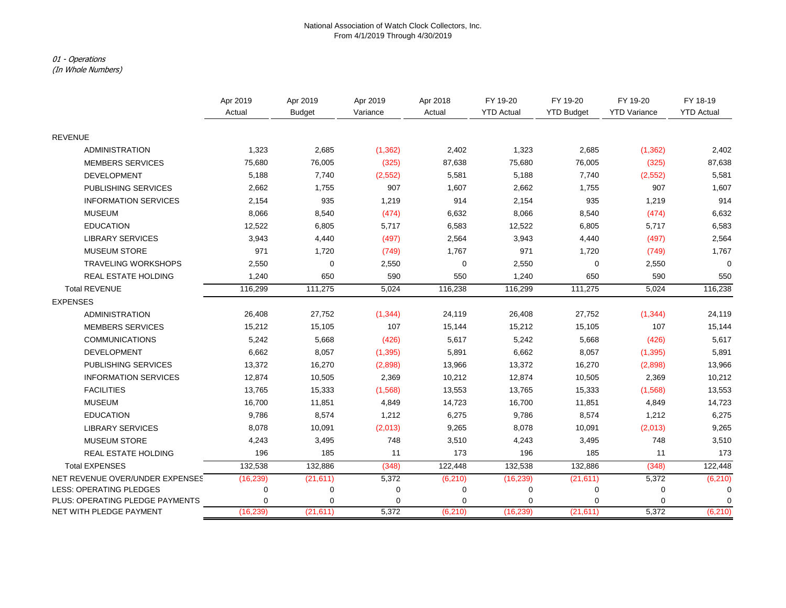### National Association of Watch Clock Collectors, Inc. From 4/1/2019 Through 4/30/2019

### 01 - Operations

(In Whole Numbers)

|                                 | Apr 2019  | Apr 2019      | Apr 2019 | Apr 2018 | FY 19-20          | FY 19-20          | FY 19-20            | FY 18-19          |
|---------------------------------|-----------|---------------|----------|----------|-------------------|-------------------|---------------------|-------------------|
|                                 | Actual    | <b>Budget</b> | Variance | Actual   | <b>YTD Actual</b> | <b>YTD Budget</b> | <b>YTD Variance</b> | <b>YTD Actual</b> |
| <b>REVENUE</b>                  |           |               |          |          |                   |                   |                     |                   |
| <b>ADMINISTRATION</b>           | 1,323     | 2,685         | (1, 362) | 2,402    | 1,323             | 2,685             | (1, 362)            | 2,402             |
| <b>MEMBERS SERVICES</b>         | 75,680    | 76,005        | (325)    | 87,638   | 75,680            | 76,005            | (325)               | 87,638            |
| <b>DEVELOPMENT</b>              | 5,188     | 7,740         | (2, 552) | 5,581    | 5,188             | 7,740             | (2,552)             | 5,581             |
| PUBLISHING SERVICES             | 2,662     | 1,755         | 907      | 1,607    | 2,662             | 1,755             | 907                 | 1,607             |
| <b>INFORMATION SERVICES</b>     | 2,154     | 935           | 1,219    | 914      | 2,154             | 935               | 1,219               | 914               |
| <b>MUSEUM</b>                   | 8,066     | 8,540         | (474)    | 6,632    | 8,066             | 8,540             | (474)               | 6,632             |
| <b>EDUCATION</b>                | 12,522    | 6,805         | 5,717    | 6,583    | 12,522            | 6,805             | 5,717               | 6,583             |
| <b>LIBRARY SERVICES</b>         | 3,943     | 4,440         | (497)    | 2,564    | 3,943             | 4,440             | (497)               | 2,564             |
| <b>MUSEUM STORE</b>             | 971       | 1,720         | (749)    | 1,767    | 971               | 1,720             | (749)               | 1,767             |
| <b>TRAVELING WORKSHOPS</b>      | 2,550     | $\mathbf 0$   | 2,550    | 0        | 2,550             | 0                 | 2,550               | $\Omega$          |
| REAL ESTATE HOLDING             | 1,240     | 650           | 590      | 550      | 1,240             | 650               | 590                 | 550               |
| <b>Total REVENUE</b>            | 116,299   | 111,275       | 5,024    | 116,238  | 116,299           | 111,275           | 5,024               | 116,238           |
| <b>EXPENSES</b>                 |           |               |          |          |                   |                   |                     |                   |
| <b>ADMINISTRATION</b>           | 26,408    | 27,752        | (1, 344) | 24,119   | 26,408            | 27,752            | (1, 344)            | 24,119            |
| <b>MEMBERS SERVICES</b>         | 15,212    | 15,105        | 107      | 15,144   | 15,212            | 15,105            | 107                 | 15,144            |
| <b>COMMUNICATIONS</b>           | 5,242     | 5,668         | (426)    | 5,617    | 5,242             | 5,668             | (426)               | 5,617             |
| <b>DEVELOPMENT</b>              | 6,662     | 8,057         | (1, 395) | 5,891    | 6,662             | 8,057             | (1, 395)            | 5,891             |
| PUBLISHING SERVICES             | 13,372    | 16,270        | (2,898)  | 13,966   | 13,372            | 16,270            | (2,898)             | 13,966            |
| <b>INFORMATION SERVICES</b>     | 12,874    | 10,505        | 2,369    | 10,212   | 12,874            | 10,505            | 2,369               | 10,212            |
| <b>FACILITIES</b>               | 13,765    | 15,333        | (1,568)  | 13,553   | 13,765            | 15,333            | (1,568)             | 13,553            |
| <b>MUSEUM</b>                   | 16,700    | 11,851        | 4,849    | 14,723   | 16,700            | 11,851            | 4,849               | 14,723            |
| <b>EDUCATION</b>                | 9,786     | 8,574         | 1,212    | 6,275    | 9,786             | 8,574             | 1,212               | 6,275             |
| <b>LIBRARY SERVICES</b>         | 8,078     | 10,091        | (2,013)  | 9,265    | 8,078             | 10,091            | (2,013)             | 9,265             |
| <b>MUSEUM STORE</b>             | 4,243     | 3,495         | 748      | 3,510    | 4,243             | 3,495             | 748                 | 3,510             |
| REAL ESTATE HOLDING             | 196       | 185           | 11       | 173      | 196               | 185               | 11                  | 173               |
| <b>Total EXPENSES</b>           | 132,538   | 132,886       | (348)    | 122,448  | 132,538           | 132,886           | (348)               | 122,448           |
| NET REVENUE OVER/UNDER EXPENSES | (16, 239) | (21, 611)     | 5,372    | (6, 210) | (16, 239)         | (21, 611)         | 5,372               | (6, 210)          |
| LESS: OPERATING PLEDGES         | 0         | $\mathbf 0$   | 0        | 0        | 0                 | $\mathbf 0$       | 0                   | 0                 |
| PLUS: OPERATING PLEDGE PAYMENTS | 0         | 0             | 0        | 0        | $\Omega$          | $\Omega$          | $\mathbf 0$         | $\mathbf 0$       |
| NET WITH PLEDGE PAYMENT         | (16, 239) | (21, 611)     | 5,372    | (6, 210) | (16, 239)         | (21, 611)         | 5,372               | (6, 210)          |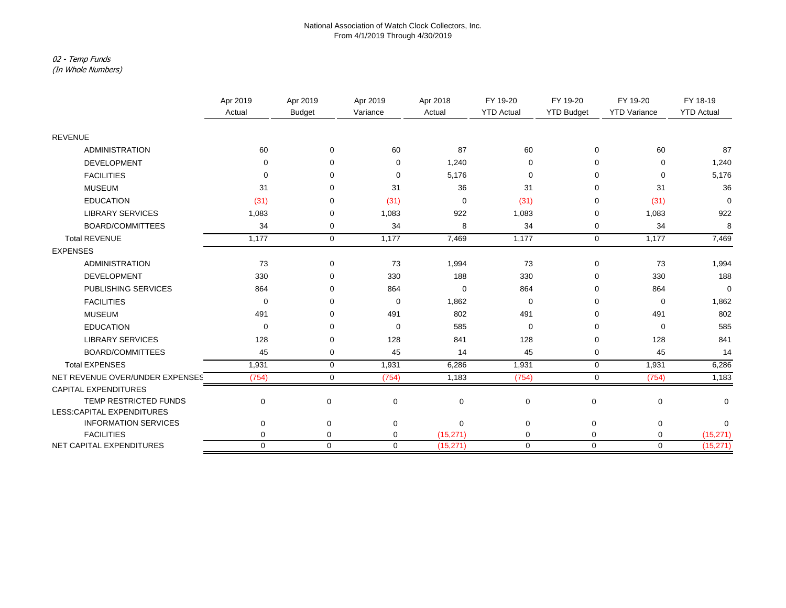### National Association of Watch Clock Collectors, Inc. From 4/1/2019 Through 4/30/2019

# 02 - Temp Funds

(In Whole Numbers)

|                                 | Apr 2019<br>Actual | Apr 2019      | Apr 2019    | Apr 2018<br>Actual | FY 19-20<br><b>YTD Actual</b> | FY 19-20<br><b>YTD Budget</b> | FY 19-20<br><b>YTD Variance</b> | FY 18-19<br><b>YTD Actual</b> |
|---------------------------------|--------------------|---------------|-------------|--------------------|-------------------------------|-------------------------------|---------------------------------|-------------------------------|
|                                 |                    | <b>Budget</b> | Variance    |                    |                               |                               |                                 |                               |
| <b>REVENUE</b>                  |                    |               |             |                    |                               |                               |                                 |                               |
| <b>ADMINISTRATION</b>           | 60                 | $\mathbf 0$   | 60          | 87                 | 60                            | 0                             | 60                              | 87                            |
| <b>DEVELOPMENT</b>              | $\Omega$           | <sup>0</sup>  | 0           | 1,240              | $\Omega$                      | $\Omega$                      | $\Omega$                        | 1,240                         |
| <b>FACILITIES</b>               | $\Omega$           | <sup>0</sup>  | $\mathbf 0$ | 5,176              | 0                             | $\Omega$                      | $\Omega$                        | 5,176                         |
| <b>MUSEUM</b>                   | 31                 | $\Omega$      | 31          | 36                 | 31                            | 0                             | 31                              | 36                            |
| <b>EDUCATION</b>                | (31)               | ∩             | (31)        | $\mathbf 0$        | (31)                          | $\Omega$                      | (31)                            | $\mathbf 0$                   |
| <b>LIBRARY SERVICES</b>         | 1,083              | ∩             | 1,083       | 922                | 1,083                         | 0                             | 1,083                           | 922                           |
| <b>BOARD/COMMITTEES</b>         | 34                 | 0             | 34          | 8                  | 34                            | 0                             | 34                              | 8                             |
| <b>Total REVENUE</b>            | 1,177              | $\mathbf 0$   | 1,177       | 7,469              | 1,177                         | $\mathbf 0$                   | 1,177                           | 7,469                         |
| <b>EXPENSES</b>                 |                    |               |             |                    |                               |                               |                                 |                               |
| <b>ADMINISTRATION</b>           | 73                 | $\mathbf 0$   | 73          | 1,994              | 73                            | $\mathbf 0$                   | 73                              | 1,994                         |
| <b>DEVELOPMENT</b>              | 330                | $\Omega$      | 330         | 188                | 330                           | $\Omega$                      | 330                             | 188                           |
| PUBLISHING SERVICES             | 864                |               | 864         | $\mathbf 0$        | 864                           | $\Omega$                      | 864                             | $\Omega$                      |
| <b>FACILITIES</b>               | $\Omega$           | ∩             | $\mathbf 0$ | 1,862              | $\mathbf 0$                   | 0                             | $\Omega$                        | 1,862                         |
| <b>MUSEUM</b>                   | 491                | $\Omega$      | 491         | 802                | 491                           | 0                             | 491                             | 802                           |
| <b>EDUCATION</b>                | $\mathbf 0$        | ∩             | $\mathbf 0$ | 585                | 0                             | $\Omega$                      | $\Omega$                        | 585                           |
| <b>LIBRARY SERVICES</b>         | 128                | $\Omega$      | 128         | 841                | 128                           | $\Omega$                      | 128                             | 841                           |
| BOARD/COMMITTEES                | 45                 | 0             | 45          | 14                 | 45                            | 0                             | 45                              | 14                            |
| <b>Total EXPENSES</b>           | 1,931              | $\mathbf 0$   | 1,931       | 6,286              | 1,931                         | $\mathbf 0$                   | 1,931                           | 6,286                         |
| NET REVENUE OVER/UNDER EXPENSES | (754)              | $\mathbf 0$   | (754)       | 1,183              | (754)                         | $\mathbf 0$                   | (754)                           | 1,183                         |
| <b>CAPITAL EXPENDITURES</b>     |                    |               |             |                    |                               |                               |                                 |                               |
| TEMP RESTRICTED FUNDS           | $\mathbf 0$        | $\mathbf 0$   | $\mathbf 0$ | $\mathbf 0$        | $\mathbf 0$                   | $\mathbf 0$                   | $\mathbf 0$                     | $\mathbf 0$                   |
| LESS:CAPITAL EXPENDITURES       |                    |               |             |                    |                               |                               |                                 |                               |
| <b>INFORMATION SERVICES</b>     | $\mathbf 0$        | $\mathbf 0$   | $\mathbf 0$ | $\Omega$           | $\mathbf 0$                   | $\mathbf 0$                   | $\mathbf 0$                     | $\Omega$                      |
| <b>FACILITIES</b>               | $\mathbf 0$        | $\pmb{0}$     | 0           | (15, 271)          | $\mathbf 0$                   | $\mathbf 0$                   | $\mathbf 0$                     | (15, 271)                     |
| NET CAPITAL EXPENDITURES        | $\mathbf 0$        | $\mathbf 0$   | $\mathbf 0$ | (15, 271)          | $\mathbf 0$                   | $\mathbf 0$                   | $\mathbf 0$                     | (15, 271)                     |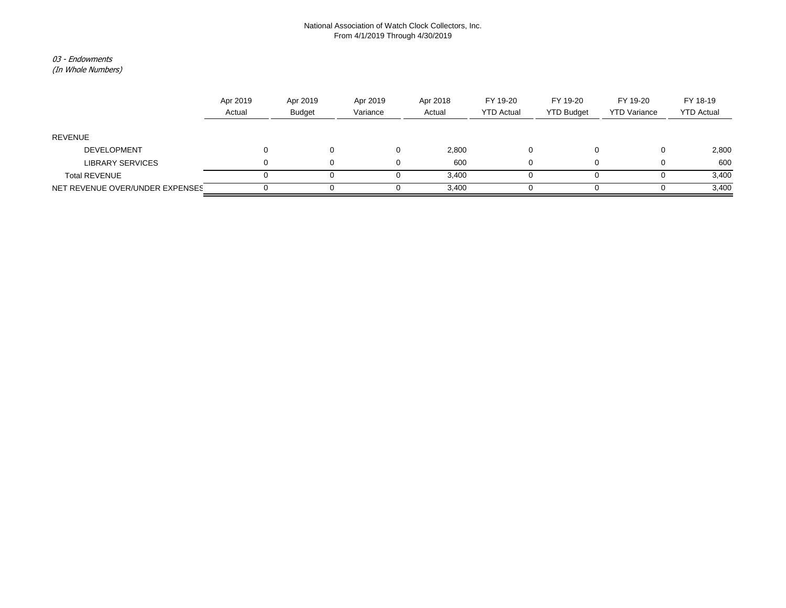### National Association of Watch Clock Collectors, Inc. From 4/1/2019 Through 4/30/2019

### 03 - Endowments

(In Whole Numbers)

|                                 | Apr 2019<br>Actual | Apr 2019<br><b>Budget</b> | Apr 2019<br>Variance | Apr 2018<br>Actual | FY 19-20<br><b>YTD Actual</b> | FY 19-20<br><b>YTD Budget</b> | FY 19-20<br><b>YTD Variance</b> | FY 18-19<br><b>YTD Actual</b> |
|---------------------------------|--------------------|---------------------------|----------------------|--------------------|-------------------------------|-------------------------------|---------------------------------|-------------------------------|
| REVENUE                         |                    |                           |                      |                    |                               |                               |                                 |                               |
| <b>DEVELOPMENT</b>              |                    |                           |                      | 2,800              |                               |                               |                                 | 2,800                         |
| <b>LIBRARY SERVICES</b>         |                    |                           |                      | 600                |                               |                               |                                 | 600                           |
| <b>Total REVENUE</b>            |                    |                           |                      | 3.400              |                               |                               |                                 | 3,400                         |
| NET REVENUE OVER/UNDER EXPENSES |                    |                           |                      | 3,400              |                               |                               |                                 | 3,400                         |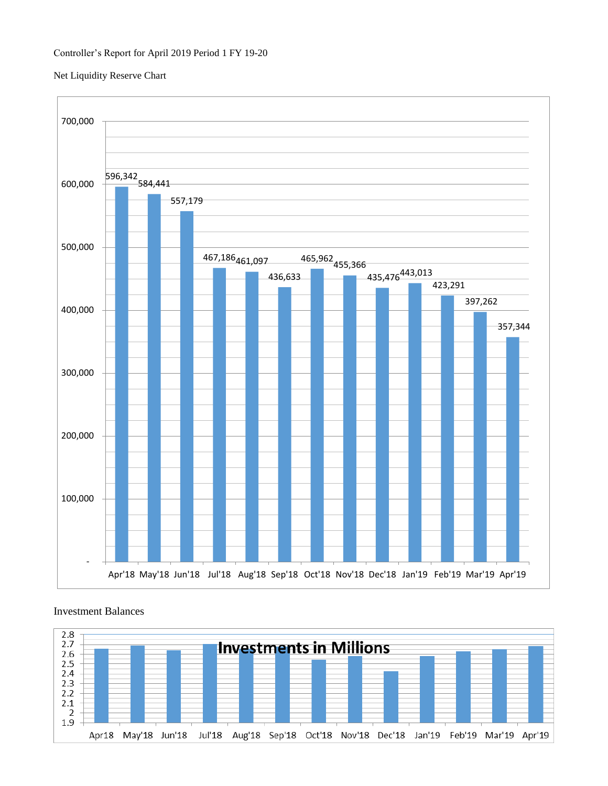## Net Liquidity Reserve Chart



# Investment Balances